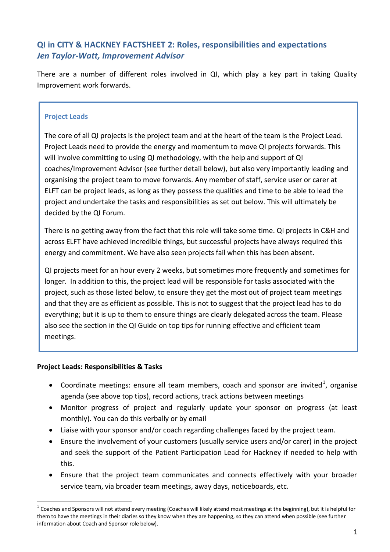# **QI in CITY & HACKNEY FACTSHEET 2: Roles, responsibilities and expectations** *Jen Taylor-Watt, Improvement Advisor*

There are a number of different roles involved in QI, which play a key part in taking Quality Improvement work forwards.

### **Project Leads**

The core of all QI projects is the project team and at the heart of the team is the Project Lead. Project Leads need to provide the energy and momentum to move QI projects forwards. This will involve committing to using QI methodology, with the help and support of QI coaches/Improvement Advisor (see further detail below), but also very importantly leading and organising the project team to move forwards. Any member of staff, service user or carer at ELFT can be project leads, as long as they possess the qualities and time to be able to lead the project and undertake the tasks and responsibilities as set out below. This will ultimately be decided by the QI Forum.

There is no getting away from the fact that this role will take some time. QI projects in C&H and across ELFT have achieved incredible things, but successful projects have always required this energy and commitment. We have also seen projects fail when this has been absent.

QI projects meet for an hour every 2 weeks, but sometimes more frequently and sometimes for longer. In addition to this, the project lead will be responsible for tasks associated with the project, such as those listed below, to ensure they get the most out of project team meetings and that they are as efficient as possible. This is not to suggest that the project lead has to do everything; but it is up to them to ensure things are clearly delegated across the team. Please also see the section in the QI Guide on top tips for running effective and efficient team meetings.

#### **Project Leads: Responsibilities & Tasks**

-

- Coordinate meetings: ensure all team members, coach and sponsor are invited<sup>1</sup>, organise agenda (see above top tips), record actions, track actions between meetings
- Monitor progress of project and regularly update your sponsor on progress (at least monthly). You can do this verbally or by email
- Liaise with your sponsor and/or coach regarding challenges faced by the project team.
- Ensure the involvement of your customers (usually service users and/or carer) in the project and seek the support of the Patient Participation Lead for Hackney if needed to help with this.
- Ensure that the project team communicates and connects effectively with your broader service team, via broader team meetings, away days, noticeboards, etc.

 $^1$  Coaches and Sponsors will not attend every meeting (Coaches will likely attend most meetings at the beginning), but it is helpful for them to have the meetings in their diaries so they know when they are happening, so they can attend when possible (see further information about Coach and Sponsor role below).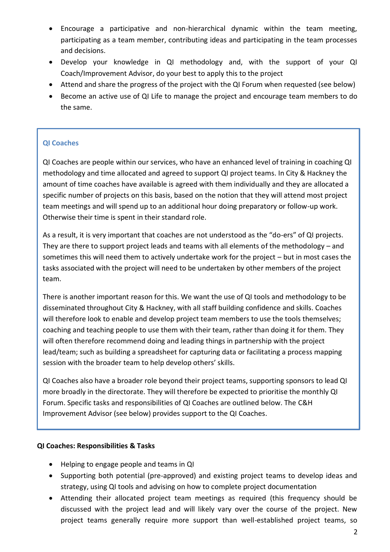- Encourage a participative and non-hierarchical dynamic within the team meeting, participating as a team member, contributing ideas and participating in the team processes and decisions.
- Develop your knowledge in QI methodology and, with the support of your QI Coach/Improvement Advisor, do your best to apply this to the project
- Attend and share the progress of the project with the QI Forum when requested (see below)
- Become an active use of QI Life to manage the project and encourage team members to do the same.

## **QI Coaches**

QI Coaches are people within our services, who have an enhanced level of training in coaching QI methodology and time allocated and agreed to support QI project teams. In City & Hackney the amount of time coaches have available is agreed with them individually and they are allocated a specific number of projects on this basis, based on the notion that they will attend most project team meetings and will spend up to an additional hour doing preparatory or follow-up work. Otherwise their time is spent in their standard role.

As a result, it is very important that coaches are not understood as the "do-ers" of QI projects. They are there to support project leads and teams with all elements of the methodology – and sometimes this will need them to actively undertake work for the project – but in most cases the tasks associated with the project will need to be undertaken by other members of the project team.

There is another important reason for this. We want the use of QI tools and methodology to be disseminated throughout City & Hackney, with all staff building confidence and skills. Coaches will therefore look to enable and develop project team members to use the tools themselves; coaching and teaching people to use them with their team, rather than doing it for them. They will often therefore recommend doing and leading things in partnership with the project lead/team; such as building a spreadsheet for capturing data or facilitating a process mapping session with the broader team to help develop others' skills.

QI Coaches also have a broader role beyond their project teams, supporting sponsors to lead QI more broadly in the directorate. They will therefore be expected to prioritise the monthly QI Forum. Specific tasks and responsibilities of QI Coaches are outlined below. The C&H Improvement Advisor (see below) provides support to the QI Coaches.

#### **QI Coaches: Responsibilities & Tasks**

- Helping to engage people and teams in QI
- Supporting both potential (pre-approved) and existing project teams to develop ideas and strategy, using QI tools and advising on how to complete project documentation
- Attending their allocated project team meetings as required (this frequency should be discussed with the project lead and will likely vary over the course of the project. New project teams generally require more support than well-established project teams, so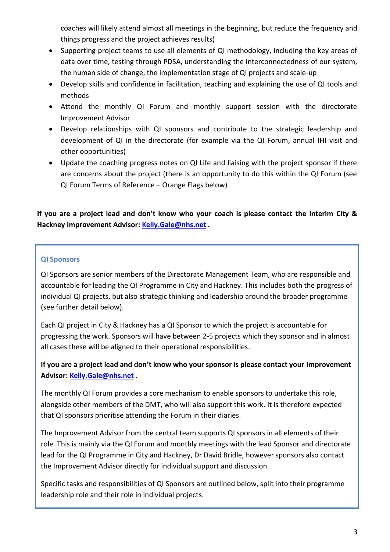coaches will likely attend almost all meetings in the beginning, but reduce the frequency and things progress and the project achieves results)

- Supporting project teams to use all elements of QI methodology, including the key areas of data over time, testing through PDSA, understanding the interconnectedness of our system, the human side of change, the implementation stage of QI projects and scale-up
- Develop skills and confidence in facilitation, teaching and explaining the use of QI tools and methods
- Attend the monthly QI Forum and monthly support session with the directorate Improvement Advisor
- Develop relationships with QI sponsors and contribute to the strategic leadership and development of QI in the directorate (for example via the QI Forum, annual IHI visit and other opportunities)
- Update the coaching progress notes on QI Life and liaising with the project sponsor if there are concerns about the project (there is an opportunity to do this within the QI Forum (see QI Forum Terms of Reference – Orange Flags below)

**If you are a project lead and don't know who your coach is please contact the Interim City & Hackney Improvement Advisor[: Kelly.Gale@nhs.net](mailto:Kelly.Gale@nhs.net) .**

### **QI Sponsors**

QI Sponsors are senior members of the Directorate Management Team, who are responsible and accountable for leading the QI Programme in City and Hackney. This includes both the progress of individual QI projects, but also strategic thinking and leadership around the broader programme (see further detail below).

Each QI project in City & Hackney has a QI Sponsor to which the project is accountable for progressing the work. Sponsors will have between 2-5 projects which they sponsor and in almost all cases these will be aligned to their operational responsibilities.

### **If you are a project lead and don't know who your sponsor is please contact your Improvement Advisor: [Kelly.Gale@nhs.net](mailto:Kelly.Gale@nhs.net) .**

The monthly QI Forum provides a core mechanism to enable sponsors to undertake this role, alongside other members of the DMT, who will also support this work. It is therefore expected that QI sponsors prioritise attending the Forum in their diaries.

The Improvement Advisor from the central team supports QI sponsors in all elements of their role. This is mainly via the QI Forum and monthly meetings with the lead Sponsor and directorate lead for the QI Programme in City and Hackney, Dr David Bridle, however sponsors also contact the Improvement Advisor directly for individual support and discussion.

Specific tasks and responsibilities of QI Sponsors are outlined below, split into their programme leadership role and their role in individual projects.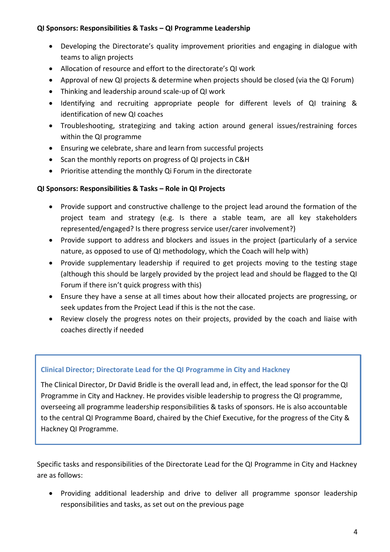#### **QI Sponsors: Responsibilities & Tasks – QI Programme Leadership**

- Developing the Directorate's quality improvement priorities and engaging in dialogue with teams to align projects
- Allocation of resource and effort to the directorate's QI work
- Approval of new QI projects & determine when projects should be closed (via the QI Forum)
- Thinking and leadership around scale-up of QI work
- Identifying and recruiting appropriate people for different levels of QI training & identification of new QI coaches
- Troubleshooting, strategizing and taking action around general issues/restraining forces within the QI programme
- Ensuring we celebrate, share and learn from successful projects
- Scan the monthly reports on progress of QI projects in C&H
- Prioritise attending the monthly Qi Forum in the directorate

#### **QI Sponsors: Responsibilities & Tasks – Role in QI Projects**

- Provide support and constructive challenge to the project lead around the formation of the project team and strategy (e.g. Is there a stable team, are all key stakeholders represented/engaged? Is there progress service user/carer involvement?)
- Provide support to address and blockers and issues in the project (particularly of a service nature, as opposed to use of QI methodology, which the Coach will help with)
- Provide supplementary leadership if required to get projects moving to the testing stage (although this should be largely provided by the project lead and should be flagged to the QI Forum if there isn't quick progress with this)
- Ensure they have a sense at all times about how their allocated projects are progressing, or seek updates from the Project Lead if this is the not the case.
- Review closely the progress notes on their projects, provided by the coach and liaise with coaches directly if needed

#### **Clinical Director; Directorate Lead for the QI Programme in City and Hackney**

The Clinical Director, Dr David Bridle is the overall lead and, in effect, the lead sponsor for the QI Programme in City and Hackney. He provides visible leadership to progress the QI programme, overseeing all programme leadership responsibilities & tasks of sponsors. He is also accountable to the central QI Programme Board, chaired by the Chief Executive, for the progress of the City & Hackney QI Programme.

Specific tasks and responsibilities of the Directorate Lead for the QI Programme in City and Hackney are as follows:

 Providing additional leadership and drive to deliver all programme sponsor leadership responsibilities and tasks, as set out on the previous page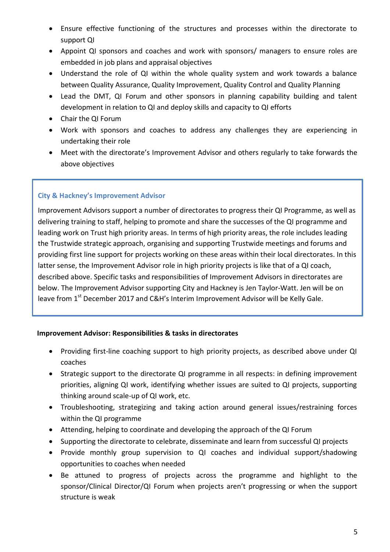- Ensure effective functioning of the structures and processes within the directorate to support QI
- Appoint QI sponsors and coaches and work with sponsors/ managers to ensure roles are embedded in job plans and appraisal objectives
- Understand the role of QI within the whole quality system and work towards a balance between Quality Assurance, Quality Improvement, Quality Control and Quality Planning
- Lead the DMT, QI Forum and other sponsors in planning capability building and talent development in relation to QI and deploy skills and capacity to QI efforts
- Chair the QI Forum
- Work with sponsors and coaches to address any challenges they are experiencing in undertaking their role
- Meet with the directorate's Improvement Advisor and others regularly to take forwards the above objectives

### **City & Hackney's Improvement Advisor**

Improvement Advisors support a number of directorates to progress their QI Programme, as well as delivering training to staff, helping to promote and share the successes of the QI programme and leading work on Trust high priority areas. In terms of high priority areas, the role includes leading the Trustwide strategic approach, organising and supporting Trustwide meetings and forums and providing first line support for projects working on these areas within their local directorates. In this latter sense, the Improvement Advisor role in high priority projects is like that of a QI coach, described above. Specific tasks and responsibilities of Improvement Advisors in directorates are below. The Improvement Advisor supporting City and Hackney is Jen Taylor-Watt. Jen will be on leave from 1<sup>st</sup> December 2017 and C&H's Interim Improvement Advisor will be Kelly Gale.

#### **Improvement Advisor: Responsibilities & tasks in directorates**

- Providing first-line coaching support to high priority projects, as described above under QI coaches
- Strategic support to the directorate QI programme in all respects: in defining improvement priorities, aligning QI work, identifying whether issues are suited to QI projects, supporting thinking around scale-up of QI work, etc.
- Troubleshooting, strategizing and taking action around general issues/restraining forces within the QI programme
- Attending, helping to coordinate and developing the approach of the QI Forum
- Supporting the directorate to celebrate, disseminate and learn from successful QI projects
- Provide monthly group supervision to QI coaches and individual support/shadowing opportunities to coaches when needed
- Be attuned to progress of projects across the programme and highlight to the sponsor/Clinical Director/QI Forum when projects aren't progressing or when the support structure is weak